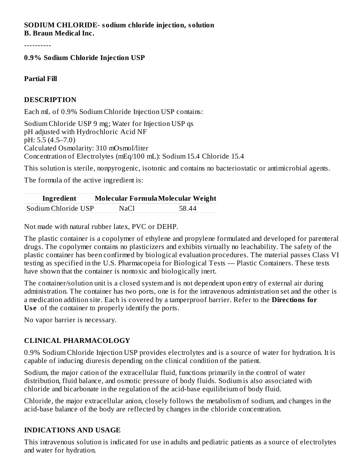#### **SODIUM CHLORIDE- sodium chloride injection, solution B. Braun Medical Inc.**

----------

#### **0.9% Sodium Chloride Injection USP**

#### **Partial Fill**

#### **DESCRIPTION**

Each mL of 0.9% Sodium Chloride Injection USP contains:

Sodium Chloride USP 9 mg; Water for Injection USP qs pH adjusted with Hydrochloric Acid NF pH: 5.5 (4.5–7.0) Calculated Osmolarity: 310 mOsmol/liter Concentration of Electrolytes (mEq/100 mL): Sodium 15.4 Chloride 15.4

This solution is sterile, nonpyrogenic, isotonic and contains no bacteriostatic or antimicrobial agents.

The formula of the active ingredient is:

| Ingredient          | Molecular Formula Molecular Weight |       |
|---------------------|------------------------------------|-------|
| Sodium Chloride USP | NaCl                               | 58.44 |

Not made with natural rubber latex, PVC or DEHP.

The plastic container is a copolymer of ethylene and propylene formulated and developed for parenteral drugs. The copolymer contains no plasticizers and exhibits virtually no leachability. The safety of the plastic container has been confirmed by biological evaluation procedures. The material passes Class VI testing as specified in the U.S. Pharmacopeia for Biological Tests — Plastic Containers. These tests have shown that the container is nontoxic and biologically inert.

The container/solution unit is a closed system and is not dependent upon entry of external air during administration. The container has two ports, one is for the intravenous administration set and the other is a medication addition site. Each is covered by a tamperproof barrier. Refer to the **Directions for Us e** of the container to properly identify the ports.

No vapor barrier is necessary.

#### **CLINICAL PHARMACOLOGY**

0.9% Sodium Chloride Injection USP provides electrolytes and is a source of water for hydration. It is capable of inducing diuresis depending on the clinical condition of the patient.

Sodium, the major cation of the extracellular fluid, functions primarily in the control of water distribution, fluid balance, and osmotic pressure of body fluids. Sodium is also associated with chloride and bicarbonate in the regulation of the acid-base equilibrium of body fluid.

Chloride, the major extracellular anion, closely follows the metabolism of sodium, and changes in the acid-base balance of the body are reflected by changes in the chloride concentration.

#### **INDICATIONS AND USAGE**

This intravenous solution is indicated for use in adults and pediatric patients as a source of electrolytes and water for hydration.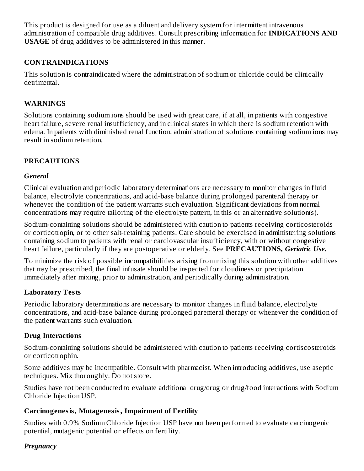This product is designed for use as a diluent and delivery system for intermittent intravenous administration of compatible drug additives. Consult prescribing information for **INDICATIONS AND USAGE** of drug additives to be administered in this manner.

#### **CONTRAINDICATIONS**

This solution is contraindicated where the administration of sodium or chloride could be clinically detrimental.

#### **WARNINGS**

Solutions containing sodium ions should be used with great care, if at all, in patients with congestive heart failure, severe renal insufficiency, and in clinical states in which there is sodium retention with edema. In patients with diminished renal function, administration of solutions containing sodium ions may result in sodium retention.

#### **PRECAUTIONS**

#### *General*

Clinical evaluation and periodic laboratory determinations are necessary to monitor changes in fluid balance, electrolyte concentrations, and acid-base balance during prolonged parenteral therapy or whenever the condition of the patient warrants such evaluation. Significant deviations from normal concentrations may require tailoring of the electrolyte pattern, in this or an alternative solution(s).

Sodium-containing solutions should be administered with caution to patients receiving corticosteroids or corticotropin, or to other salt-retaining patients. Care should be exercised in administering solutions containing sodium to patients with renal or cardiovascular insufficiency, with or without congestive heart failure, particularly if they are postoperative or elderly. See **PRECAUTIONS,** *Geriatric Use***.**

To minimize the risk of possible incompatibilities arising from mixing this solution with other additives that may be prescribed, the final infusate should be inspected for cloudiness or precipitation immediately after mixing, prior to administration, and periodically during administration.

#### **Laboratory Tests**

Periodic laboratory determinations are necessary to monitor changes in fluid balance, electrolyte concentrations, and acid-base balance during prolonged parenteral therapy or whenever the condition of the patient warrants such evaluation.

#### **Drug Interactions**

Sodium-containing solutions should be administered with caution to patients receiving cortiscosteroids or corticotrophin.

Some additives may be incompatible. Consult with pharmacist. When introducing additives, use aseptic techniques. Mix thoroughly. Do not store.

Studies have not been conducted to evaluate additional drug/drug or drug/food interactions with Sodium Chloride Injection USP.

#### **Carcinogenesis, Mutagenesis, Impairment of Fertility**

Studies with 0.9% Sodium Chloride Injection USP have not been performed to evaluate carcinogenic potential, mutagenic potential or effects on fertility.

#### *Pregnancy*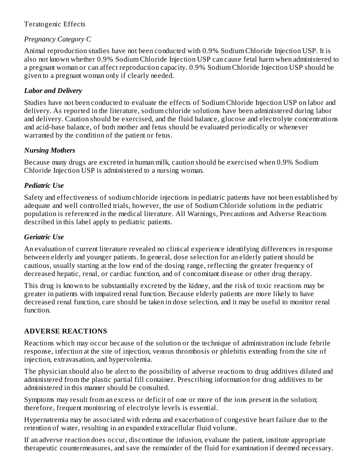#### Teratogenic Effects

#### *Pregnancy Category C*

Animal reproduction studies have not been conducted with 0.9% Sodium Chloride Injection USP. It is also not known whether 0.9% Sodium Chloride Injection USP can cause fetal harm when administered to a pregnant woman or can affect reproduction capacity. 0.9% Sodium Chloride Injection USP should be given to a pregnant woman only if clearly needed.

#### *Labor and Delivery*

Studies have not been conducted to evaluate the effects of Sodium Chloride Injection USP on labor and delivery. As reported in the literature, sodium chloride solutions have been administered during labor and delivery. Caution should be exercised, and the fluid balance, glucose and electrolyte concentrations and acid-base balance, of both mother and fetus should be evaluated periodically or whenever warranted by the condition of the patient or fetus.

#### *Nursing Mothers*

Because many drugs are excreted in human milk, caution should be exercised when 0.9% Sodium Chloride Injection USP is administered to a nursing woman.

#### *Pediatric Use*

Safety and effectiveness of sodium chloride injections in pediatric patients have not been established by adequate and well controlled trials, however, the use of Sodium Chloride solutions in the pediatric population is referenced in the medical literature. All Warnings, Precautions and Adverse Reactions described in this label apply to pediatric patients.

#### *Geriatric Use*

An evaluation of current literature revealed no clinical experience identifying differences in response between elderly and younger patients. In general, dose selection for an elderly patient should be cautious, usually starting at the low end of the dosing range, reflecting the greater frequency of decreased hepatic, renal, or cardiac function, and of concomitant disease or other drug therapy.

This drug is known to be substantially excreted by the kidney, and the risk of toxic reactions may be greater in patients with impaired renal function. Because elderly patients are more likely to have decreased renal function, care should be taken in dose selection, and it may be useful to monitor renal function.

#### **ADVERSE REACTIONS**

Reactions which may occur because of the solution or the technique of administration include febrile response, infection at the site of injection, venous thrombosis or phlebitis extending from the site of injection, extravasation, and hypervolemia.

The physician should also be alert to the possibility of adverse reactions to drug additives diluted and administered from the plastic partial fill container. Prescribing information for drug additives to be administered in this manner should be consulted.

Symptoms may result from an excess or deficit of one or more of the ions present in the solution; therefore, frequent monitoring of electrolyte levels is essential.

Hypernatremia may be associated with edema and exacerbation of congestive heart failure due to the retention of water, resulting in an expanded extracellular fluid volume.

If an adverse reaction does occur, discontinue the infusion, evaluate the patient, institute appropriate therapeutic countermeasures, and save the remainder of the fluid for examination if deemed necessary.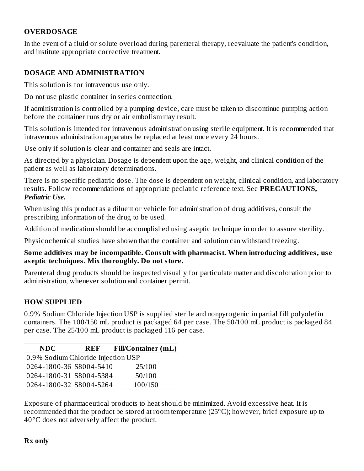#### **OVERDOSAGE**

In the event of a fluid or solute overload during parenteral therapy, reevaluate the patient's condition, and institute appropriate corrective treatment.

#### **DOSAGE AND ADMINISTRATION**

This solution is for intravenous use only.

Do not use plastic container in series connection.

If administration is controlled by a pumping device, care must be taken to discontinue pumping action before the container runs dry or air embolism may result.

This solution is intended for intravenous administration using sterile equipment. It is recommended that intravenous administration apparatus be replaced at least once every 24 hours.

Use only if solution is clear and container and seals are intact.

As directed by a physician. Dosage is dependent upon the age, weight, and clinical condition of the patient as well as laboratory determinations.

There is no specific pediatric dose. The dose is dependent on weight, clinical condition, and laboratory results. Follow recommendations of appropriate pediatric reference text. See **PRECAUTIONS,** *Pediatric Use***.**

When using this product as a diluent or vehicle for administration of drug additives, consult the prescribing information of the drug to be used.

Addition of medication should be accomplished using aseptic technique in order to assure sterility.

Physicochemical studies have shown that the container and solution can withstand freezing.

#### **Some additives may be incompatible. Consult with pharmacist. When introducing additives, us e as eptic techniques. Mix thoroughly. Do not store.**

Parenteral drug products should be inspected visually for particulate matter and discoloration prior to administration, whenever solution and container permit.

#### **HOW SUPPLIED**

0.9% Sodium Chloride Injection USP is supplied sterile and nonpyrogenic in partial fill polyolefin containers. The 100/150 mL product is packaged 64 per case. The 50/100 mL product is packaged 84 per case. The 25/100 mL product is packaged 116 per case.

| <b>NDC</b>                         | <b>REF</b> | <b>Fill/Container (mL)</b> |  |  |  |  |
|------------------------------------|------------|----------------------------|--|--|--|--|
| 0.9% Sodium Chloride Injection USP |            |                            |  |  |  |  |
| 0264-1800-36 S8004-5410            |            | 25/100                     |  |  |  |  |
| 0264-1800-31 S8004-5384            |            | 50/100                     |  |  |  |  |
| 0264-1800-32 S8004-5264            |            | 100/150                    |  |  |  |  |

Exposure of pharmaceutical products to heat should be minimized. Avoid excessive heat. It is recommended that the product be stored at room temperature  $(25^{\circ}C)$ ; however, brief exposure up to 40°C does not adversely affect the product.

#### **Rx only**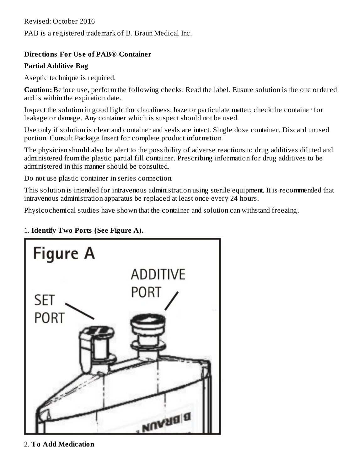Revised: October 2016

PAB is a registered trademark of B. Braun Medical Inc.

#### **Directions For Us e of PAB® Container**

#### **Partial Additive Bag**

Aseptic technique is required.

**Caution:** Before use, perform the following checks: Read the label. Ensure solution is the one ordered and is within the expiration date.

Inspect the solution in good light for cloudiness, haze or particulate matter; check the container for leakage or damage. Any container which is suspect should not be used.

Use only if solution is clear and container and seals are intact. Single dose container. Discard unused portion. Consult Package Insert for complete product information.

The physician should also be alert to the possibility of adverse reactions to drug additives diluted and administered from the plastic partial fill container. Prescribing information for drug additives to be administered in this manner should be consulted.

Do not use plastic container in series connection.

This solution is intended for intravenous administration using sterile equipment. It is recommended that intravenous administration apparatus be replaced at least once every 24 hours.

Physicochemical studies have shown that the container and solution can withstand freezing.



#### 1. **Identify Two Ports (See Figure A).**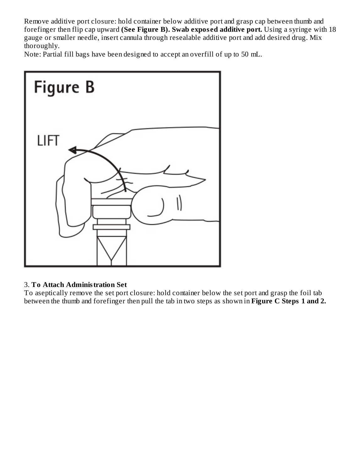Remove additive port closure: hold container below additive port and grasp cap between thumb and forefinger then flip cap upward **(See Figure B). Swab expos ed additive port.** Using a syringe with 18 gauge or smaller needle, insert cannula through resealable additive port and add desired drug. Mix thoroughly.

Note: Partial fill bags have been designed to accept an overfill of up to 50 mL.



#### 3. **To Attach Administration Set**

To aseptically remove the set port closure: hold container below the set port and grasp the foil tab between the thumb and forefinger then pull the tab in two steps as shown in **Figure C Steps 1 and 2.**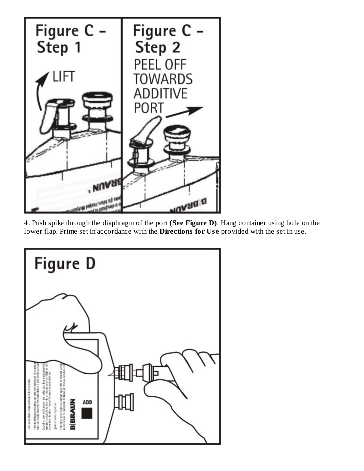

4. Push spike through the diaphragm of the port **(See Figure D)**. Hang container using hole on the lower flap. Prime set in accordance with the **Directions for Use** provided with the set in use.

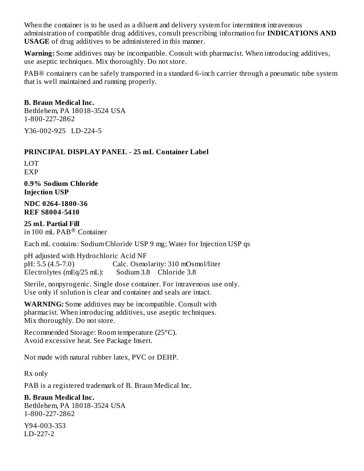When the container is to be used as a diluent and delivery system for intermittent intravenous administration of compatible drug additives, consult prescribing information for **INDICATIONS AND USAGE** of drug additives to be administered in this manner.

**Warning:** Some additives may be incompatible. Consult with pharmacist. When introducing additives, use aseptic techniques. Mix thoroughly. Do not store.

PAB® containers can be safely transported in a standard 6-inch carrier through a pneumatic tube system that is well maintained and running properly.

#### **B. Braun Medical Inc.**

Bethlehem, PA 18018-3524 USA 1-800-227-2862

Y36-002-925 LD-224-5

#### **PRINCIPAL DISPLAY PANEL - 25 mL Container Label**

LOT EXP

**0.9% Sodium Chloride Injection USP**

**NDC 0264-1800-36 REF S8004-5410**

**25 mL Partial Fill** in 100 mL  $\text{PAB}^{\circledR}$  Container

Each mL contains: Sodium Chloride USP 9 mg; Water for Injection USP qs

pH adjusted with Hydrochloric Acid NF pH: 5.5 (4.5-7.0) Calc. Osmolarity: 310 mOsmol/liter Electrolytes (mEq/25 mL): Sodium 3.8 Chloride 3.8

Sterile, nonpyrogenic. Single dose container. For intravenous use only. Use only if solution is clear and container and seals are intact.

**WARNING:** Some additives may be incompatible. Consult with pharmacist. When introducing additives, use aseptic techniques. Mix thoroughly. Do not store.

Recommended Storage: Room temperature (25°C). Avoid excessive heat. See Package Insert.

Not made with natural rubber latex, PVC or DEHP.

Rx only

PAB is a registered trademark of B. Braun Medical Inc.

#### **B. Braun Medical Inc.**

Bethlehem, PA 18018-3524 USA 1-800-227-2862

Y94-003-353 LD-227-2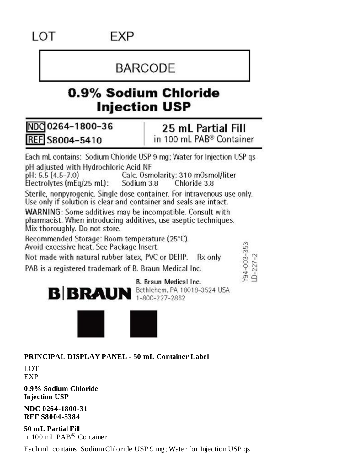# **BARCODE**

# 0.9% Sodium Chloride **Injection USP**

NDC 0264-1800-36 REF S8004-5410

#### 25 mL Partial Fill in 100 mL PAB<sup>®</sup> Container

Each mL contains: Sodium Chloride USP 9 mg; Water for Injection USP gs pH adjusted with Hydrochloric Acid NF  $pH: 5.5 (4.5 - 7.0)$ Calc. Osmolarity: 310 mOsmol/liter Chloride 3.8 Electrolytes (mEq/25 mL): Sodium 3.8 Sterile, nonpyrogenic. Single dose container. For intravenous use only. Use only if solution is clear and container and seals are intact. WARNING: Some additives may be incompatible. Consult with

pharmacist. When introducing additives, use aseptic techniques. Mix thoroughly. Do not store.

Recommended Storage: Room temperature (25°C).

Avoid excessive heat. See Package Insert.

Not made with natural rubber latex, PVC or DEHP. Rx only

PAB is a registered trademark of B. Braun Medical Inc.

Y94-003-353<br>LD-227-2





**PRINCIPAL DISPLAY PANEL - 50 mL Container Label**

LOT EXP

**0.9% Sodium Chloride Injection USP**

**NDC 0264-1800-31 REF S8004-5384**

**50 mL Partial Fill** in 100 mL  $\mathrm{PAB}^{\circledR}$  Container

Each mL contains: Sodium Chloride USP 9 mg; Water for Injection USP qs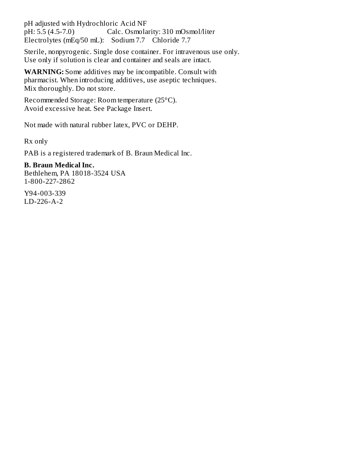pH adjusted with Hydrochloric Acid NF pH: 5.5 (4.5-7.0) Calc. Osmolarity: 310 mOsmol/liter Electrolytes (mEq/50 mL): Sodium 7.7 Chloride 7.7

Sterile, nonpyrogenic. Single dose container. For intravenous use only. Use only if solution is clear and container and seals are intact.

**WARNING:** Some additives may be incompatible. Consult with pharmacist. When introducing additives, use aseptic techniques. Mix thoroughly. Do not store.

Recommended Storage: Room temperature (25°C). Avoid excessive heat. See Package Insert.

Not made with natural rubber latex, PVC or DEHP.

Rx only

PAB is a registered trademark of B. Braun Medical Inc.

**B. Braun Medical Inc.** Bethlehem, PA 18018-3524 USA 1-800-227-2862

Y94-003-339 LD-226-A-2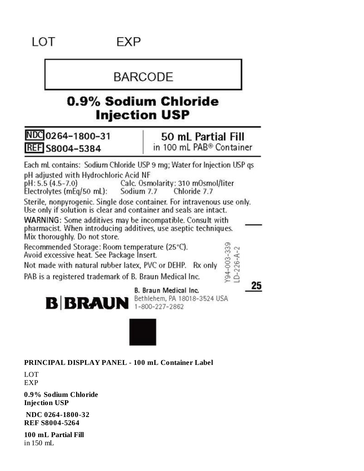## **EXP**

## **BARCODE**

## 0.9% Sodium Chloride **Injection USP**

NDC 0264-1800-31 **REF S8004-5384** 

50 mL Partial Fill in 100 mL PAB® Container

Each mL contains: Sodium Chloride USP 9 mg; Water for Injection USP gs pH adjusted with Hydrochloric Acid NF

pH: 5.5 (4.5-7.0) Calc. Osmolarity: 310 mOsmol/liter Electrolytes (mEg/50 mL): Sodium 7.7 Chloride 7.7

Sterile, nonpyrogenic. Single dose container. For intravenous use only. Use only if solution is clear and container and seals are intact.

WARNING: Some additives may be incompatible. Consult with pharmacist. When introducing additives, use aseptic techniques. Mix thoroughly. Do not store. Y94-003-339<br>LD-226-A-2

Recommended Storage: Room temperature (25°C).

Avoid excessive heat. See Package Insert.

Not made with natural rubber latex, PVC or DEHP. Rx only

PAB is a registered trademark of B. Braun Medical Inc.

25



B. Braun Medical Inc. Bethlehem, PA 18018-3524 USA



**PRINCIPAL DISPLAY PANEL - 100 mL Container Label**

LOT EXP

**0.9% Sodium Chloride Injection USP**

**NDC 0264-1800-32 REF S8004-5264**

**100 mL Partial Fill** in 150 mL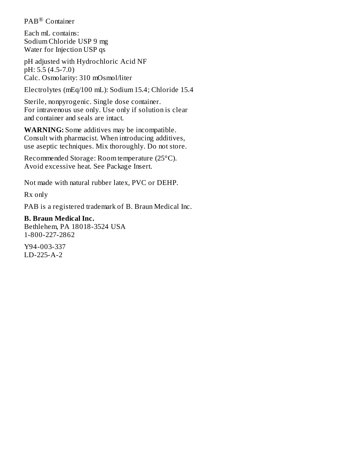PAB<sup>®</sup> Container

Each mL contains: Sodium Chloride USP 9 mg Water for Injection USP qs

pH adjusted with Hydrochloric Acid NF pH: 5.5 (4.5-7.0) Calc. Osmolarity: 310 mOsmol/liter

Electrolytes (mEq/100 mL): Sodium 15.4; Chloride 15.4

Sterile, nonpyrogenic. Single dose container. For intravenous use only. Use only if solution is clear and container and seals are intact.

**WARNING:** Some additives may be incompatible. Consult with pharmacist. When introducing additives, use aseptic techniques. Mix thoroughly. Do not store.

Recommended Storage: Room temperature (25°C). Avoid excessive heat. See Package Insert.

Not made with natural rubber latex, PVC or DEHP.

Rx only

PAB is a registered trademark of B. Braun Medical Inc.

#### **B. Braun Medical Inc.**

Bethlehem, PA 18018-3524 USA 1-800-227-2862

Y94-003-337 LD-225-A-2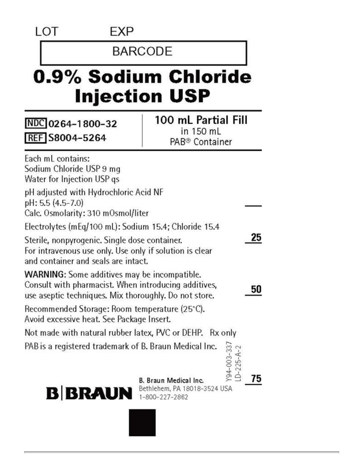LOT

### **EXP**

## **BARCODE**

# 0.9% Sodium Chloride **Injection USP**

NDC 0264-1800-32 REF S8004-5264

## 100 mL Partial Fill in 150 mL PAB<sup>®</sup> Container

| Each mL contains:<br>Sodium Chloride USP 9 mg<br>Water for Injection USP as                                                                                          |                                                                               |  |  |  |
|----------------------------------------------------------------------------------------------------------------------------------------------------------------------|-------------------------------------------------------------------------------|--|--|--|
| pH adjusted with Hydrochloric Acid NF<br>pH: 5.5 (4.5-7.0)<br>Calc. Osmolarity: 310 mOsmol/liter                                                                     |                                                                               |  |  |  |
| Electrolytes (mEq/100 mL): Sodium 15.4; Chloride 15.4                                                                                                                |                                                                               |  |  |  |
| Sterile, nonpyrogenic. Single dose container.<br>For intravenous use only. Use only if solution is clear<br>and container and seals are intact.                      |                                                                               |  |  |  |
| <b>WARNING:</b> Some additives may be incompatible.<br>Consult with pharmacist. When introducing additives,<br>use aseptic techniques. Mix thoroughly. Do not store. | 50                                                                            |  |  |  |
| Recommended Storage: Room temperature (25°C).<br>Avoid excessive heat. See Package Insert.                                                                           |                                                                               |  |  |  |
| Not made with natural rubber latex, PVC or DEHP. Rx only                                                                                                             |                                                                               |  |  |  |
| PAB is a registered trademark of B. Braun Medical Inc.                                                                                                               | Y94-003-337<br>LD-225-A-2                                                     |  |  |  |
| <b>B</b> BRAUN                                                                                                                                                       | 75<br>B. Braun Medical Inc.<br>Bethlehem, PA 18018-3524 USA<br>1-800-227-2862 |  |  |  |